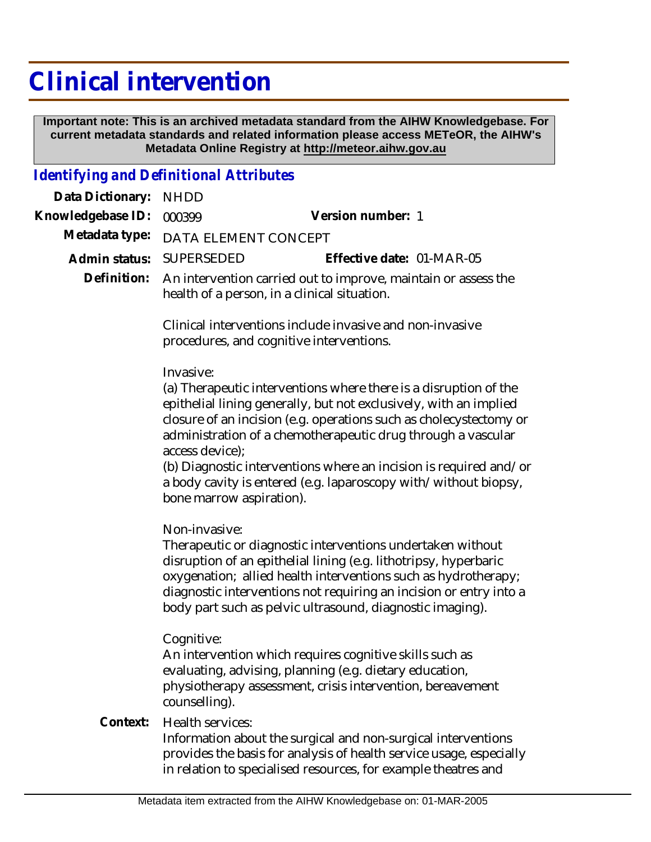## **Clinical intervention**

 **Important note: This is an archived metadata standard from the AIHW Knowledgebase. For current metadata standards and related information please access METeOR, the AIHW's Metadata Online Registry at http://meteor.aihw.gov.au**

## *Identifying and Definitional Attributes*

| Data Dictionary:  | <b>NHDD</b>                                                                                                                                                                                                                                                                                                                                                                                                                                                                     |
|-------------------|---------------------------------------------------------------------------------------------------------------------------------------------------------------------------------------------------------------------------------------------------------------------------------------------------------------------------------------------------------------------------------------------------------------------------------------------------------------------------------|
| Knowledgebase ID: | Version number: 1<br>000399                                                                                                                                                                                                                                                                                                                                                                                                                                                     |
| Metadata type:    | DATA ELEMENT CONCEPT                                                                                                                                                                                                                                                                                                                                                                                                                                                            |
| Admin status:     | Effective date: 01-MAR-05<br><b>SUPERSEDED</b>                                                                                                                                                                                                                                                                                                                                                                                                                                  |
| Definition:       | An intervention carried out to improve, maintain or assess the<br>health of a person, in a clinical situation.                                                                                                                                                                                                                                                                                                                                                                  |
|                   | Clinical interventions include invasive and non-invasive<br>procedures, and cognitive interventions.                                                                                                                                                                                                                                                                                                                                                                            |
| Context:          | Invasive:<br>(a) Therapeutic interventions where there is a disruption of the<br>epithelial lining generally, but not exclusively, with an implied<br>closure of an incision (e.g. operations such as cholecystectomy or<br>administration of a chemotherapeutic drug through a vascular<br>access device);<br>(b) Diagnostic interventions where an incision is required and/or<br>a body cavity is entered (e.g. laparoscopy with/without biopsy,<br>bone marrow aspiration). |
|                   | Non-invasive:<br>Therapeutic or diagnostic interventions undertaken without<br>disruption of an epithelial lining (e.g. lithotripsy, hyperbaric<br>oxygenation; allied health interventions such as hydrotherapy;<br>diagnostic interventions not requiring an incision or entry into a<br>body part such as pelvic ultrasound, diagnostic imaging).                                                                                                                            |
|                   | Cognitive:<br>An intervention which requires cognitive skills such as<br>evaluating, advising, planning (e.g. dietary education,<br>physiotherapy assessment, crisis intervention, bereavement<br>counselling).<br>Health services:                                                                                                                                                                                                                                             |
|                   | Information about the surgical and non-surgical interventions<br>provides the basis for analysis of health service usage, especially<br>in relation to specialised resources, for example theatres and                                                                                                                                                                                                                                                                          |